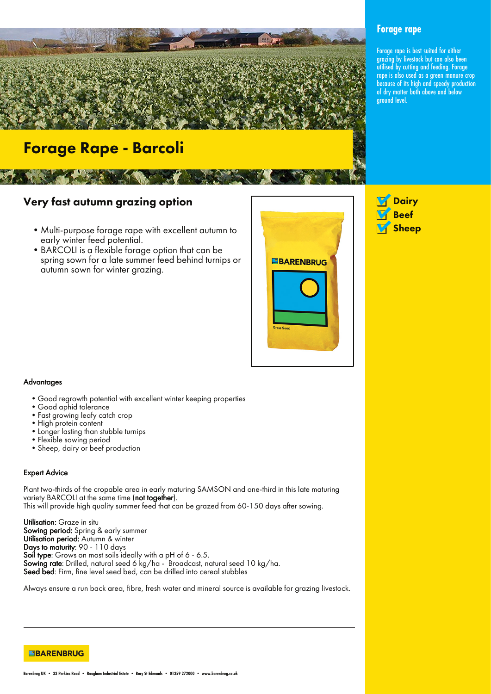

# Very fast autumn grazing option

- •Multi-purpose forage rape with excellent autumn to early winter feed potential.
- •BARCOLI is a flexible forage option that can be spring sown for a late summer feed behind turnips or autumn sown for winter grazing.



# **Dairy** Beef Sheep

## **Advantages**

- •Good regrowth potential with excellent winter keeping properties
- •Good aphid tolerance
- •Fast growing leafy catch crop
- High protein content
- •Longer lasting than stubble turnips
- •Flexible sowing period •Sheep, dairy or beef production
- 

#### Expert Advice

Plant two-thirds of the cropable area in early maturing SAMSON and one-third in this late maturing variety BARCOLI at the same time (not together). This will provide high quality summer feed that can be grazed from 60-150 days after sowing.

Utilisation: Graze in situ Sowing period: Spring & early summer Utilisation period: Autumn & winter Days to maturity: 90 - 110 days Soil type: Grows on most soils ideally with a pH of 6 - 6.5. Sowing rate: Drilled, natural seed 6 kg/ha - Broadcast, natural seed 10 kg/ha. Seed bed: Firm, fine level seed bed, can be drilled into cereal stubbles

Always ensure a run back area, fibre, fresh water and mineral source is available for grazing livestock.

## **EBARENBRUG**

# **Forage rape**

Forage rape is best suited for either grazing by livestock but can also been utilised by cutting and feeding. Forage rape is also used as a green manure crop because of its high and speedy production of dry matter both above and below ground level.